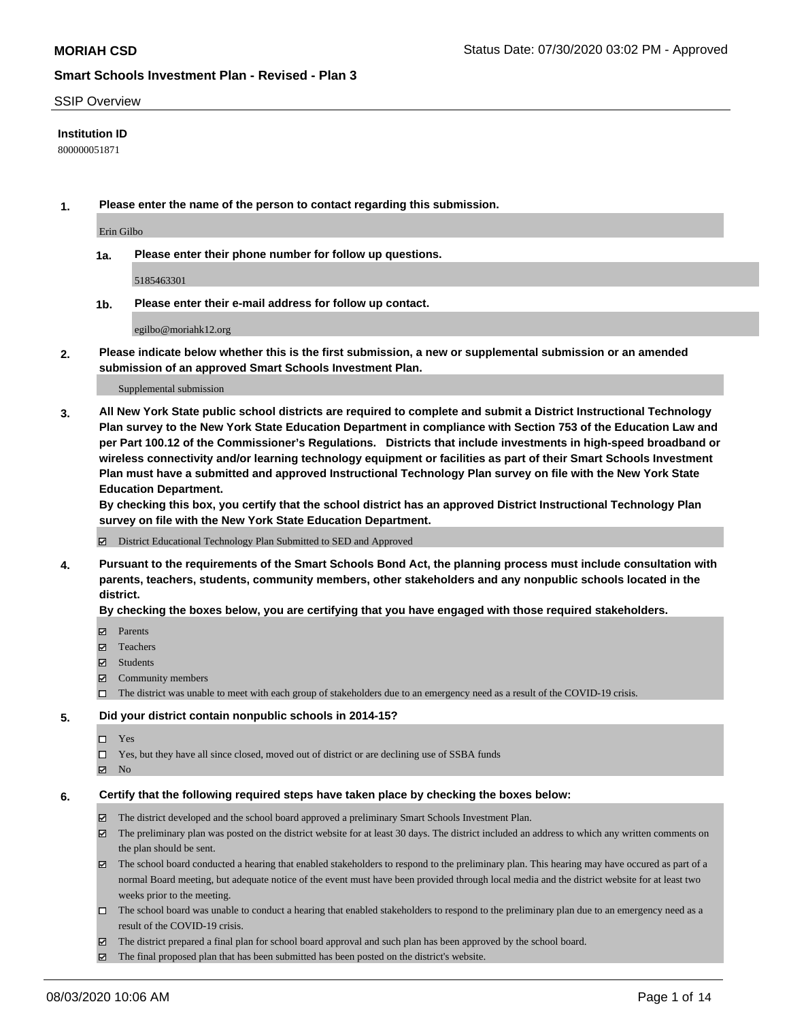### SSIP Overview

## **Institution ID**

800000051871

**1. Please enter the name of the person to contact regarding this submission.**

Erin Gilbo

**1a. Please enter their phone number for follow up questions.**

5185463301

**1b. Please enter their e-mail address for follow up contact.**

egilbo@moriahk12.org

**2. Please indicate below whether this is the first submission, a new or supplemental submission or an amended submission of an approved Smart Schools Investment Plan.**

#### Supplemental submission

**3. All New York State public school districts are required to complete and submit a District Instructional Technology Plan survey to the New York State Education Department in compliance with Section 753 of the Education Law and per Part 100.12 of the Commissioner's Regulations. Districts that include investments in high-speed broadband or wireless connectivity and/or learning technology equipment or facilities as part of their Smart Schools Investment Plan must have a submitted and approved Instructional Technology Plan survey on file with the New York State Education Department.** 

**By checking this box, you certify that the school district has an approved District Instructional Technology Plan survey on file with the New York State Education Department.**

District Educational Technology Plan Submitted to SED and Approved

**4. Pursuant to the requirements of the Smart Schools Bond Act, the planning process must include consultation with parents, teachers, students, community members, other stakeholders and any nonpublic schools located in the district.** 

#### **By checking the boxes below, you are certifying that you have engaged with those required stakeholders.**

- **□** Parents
- Teachers
- Students
- $\boxtimes$  Community members
- The district was unable to meet with each group of stakeholders due to an emergency need as a result of the COVID-19 crisis.

### **5. Did your district contain nonpublic schools in 2014-15?**

- $\neg$  Yes
- Yes, but they have all since closed, moved out of district or are declining use of SSBA funds
- **Z** No

#### **6. Certify that the following required steps have taken place by checking the boxes below:**

- The district developed and the school board approved a preliminary Smart Schools Investment Plan.
- $\boxtimes$  The preliminary plan was posted on the district website for at least 30 days. The district included an address to which any written comments on the plan should be sent.
- $\boxtimes$  The school board conducted a hearing that enabled stakeholders to respond to the preliminary plan. This hearing may have occured as part of a normal Board meeting, but adequate notice of the event must have been provided through local media and the district website for at least two weeks prior to the meeting.
- The school board was unable to conduct a hearing that enabled stakeholders to respond to the preliminary plan due to an emergency need as a result of the COVID-19 crisis.
- The district prepared a final plan for school board approval and such plan has been approved by the school board.
- $\boxtimes$  The final proposed plan that has been submitted has been posted on the district's website.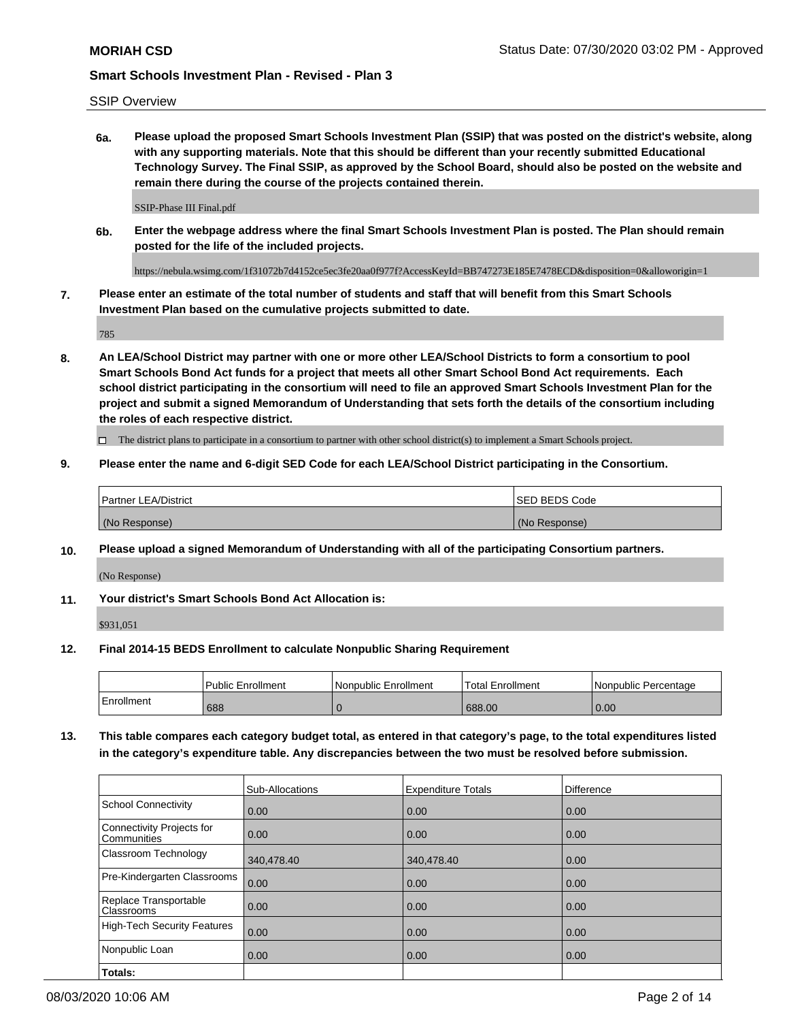SSIP Overview

**6a. Please upload the proposed Smart Schools Investment Plan (SSIP) that was posted on the district's website, along with any supporting materials. Note that this should be different than your recently submitted Educational Technology Survey. The Final SSIP, as approved by the School Board, should also be posted on the website and remain there during the course of the projects contained therein.**

SSIP-Phase III Final.pdf

**6b. Enter the webpage address where the final Smart Schools Investment Plan is posted. The Plan should remain posted for the life of the included projects.**

https://nebula.wsimg.com/1f31072b7d4152ce5ec3fe20aa0f977f?AccessKeyId=BB747273E185E7478ECD&disposition=0&alloworigin=1

**7. Please enter an estimate of the total number of students and staff that will benefit from this Smart Schools Investment Plan based on the cumulative projects submitted to date.**

785

**8. An LEA/School District may partner with one or more other LEA/School Districts to form a consortium to pool Smart Schools Bond Act funds for a project that meets all other Smart School Bond Act requirements. Each school district participating in the consortium will need to file an approved Smart Schools Investment Plan for the project and submit a signed Memorandum of Understanding that sets forth the details of the consortium including the roles of each respective district.**

 $\Box$  The district plans to participate in a consortium to partner with other school district(s) to implement a Smart Schools project.

### **9. Please enter the name and 6-digit SED Code for each LEA/School District participating in the Consortium.**

| Partner LEA/District | <b>ISED BEDS Code</b> |
|----------------------|-----------------------|
| (No Response)        | (No Response)         |

#### **10. Please upload a signed Memorandum of Understanding with all of the participating Consortium partners.**

(No Response)

**11. Your district's Smart Schools Bond Act Allocation is:**

\$931,051

#### **12. Final 2014-15 BEDS Enrollment to calculate Nonpublic Sharing Requirement**

|            | <b>Public Enrollment</b> | Nonpublic Enrollment | <b>Total Enrollment</b> | l Nonpublic Percentage |
|------------|--------------------------|----------------------|-------------------------|------------------------|
| Enrollment | 688                      |                      | 688.00                  | 0.00                   |

**13. This table compares each category budget total, as entered in that category's page, to the total expenditures listed in the category's expenditure table. Any discrepancies between the two must be resolved before submission.**

|                                          | Sub-Allocations | <b>Expenditure Totals</b> | Difference |
|------------------------------------------|-----------------|---------------------------|------------|
| <b>School Connectivity</b>               | 0.00            | 0.00                      | 0.00       |
| Connectivity Projects for<br>Communities | 0.00            | 0.00                      | 0.00       |
| Classroom Technology                     | 340,478.40      | 340,478.40                | 0.00       |
| Pre-Kindergarten Classrooms              | 0.00            | 0.00                      | 0.00       |
| Replace Transportable<br>Classrooms      | 0.00            | 0.00                      | 0.00       |
| <b>High-Tech Security Features</b>       | 0.00            | 0.00                      | 0.00       |
| Nonpublic Loan                           | 0.00            | 0.00                      | 0.00       |
| Totals:                                  |                 |                           |            |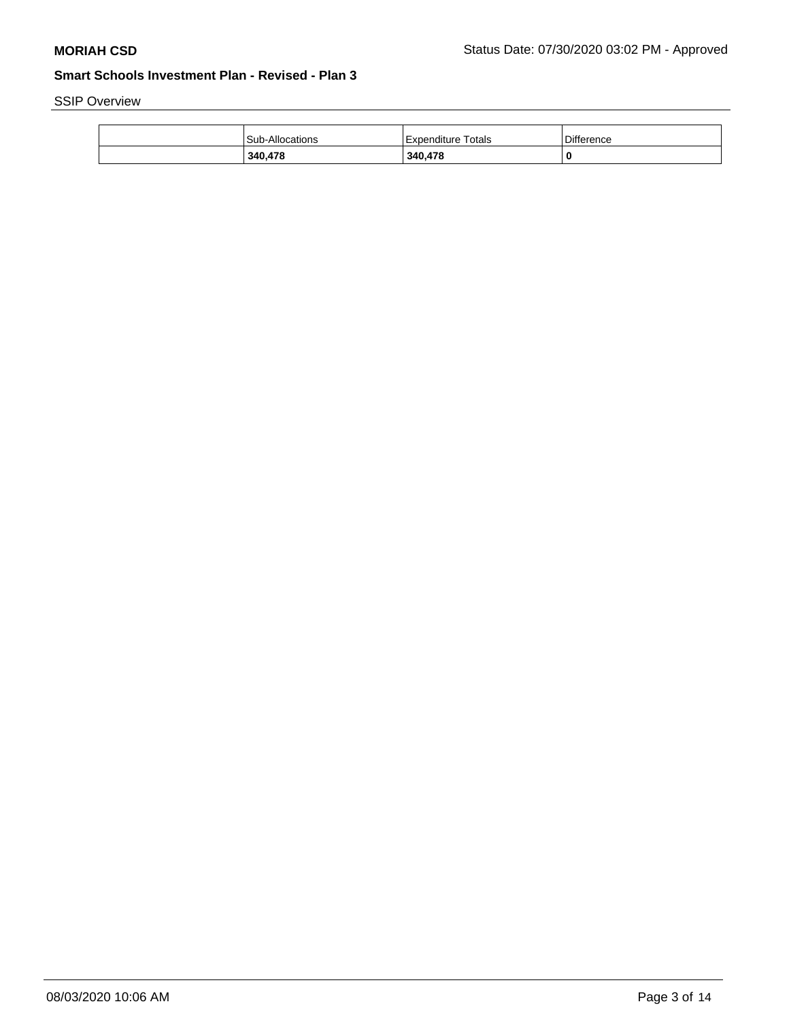SSIP Overview

| 340,478                | 340,478            | 0                 |
|------------------------|--------------------|-------------------|
| <b>Sub-Allocations</b> | Expenditure Totals | <b>Difference</b> |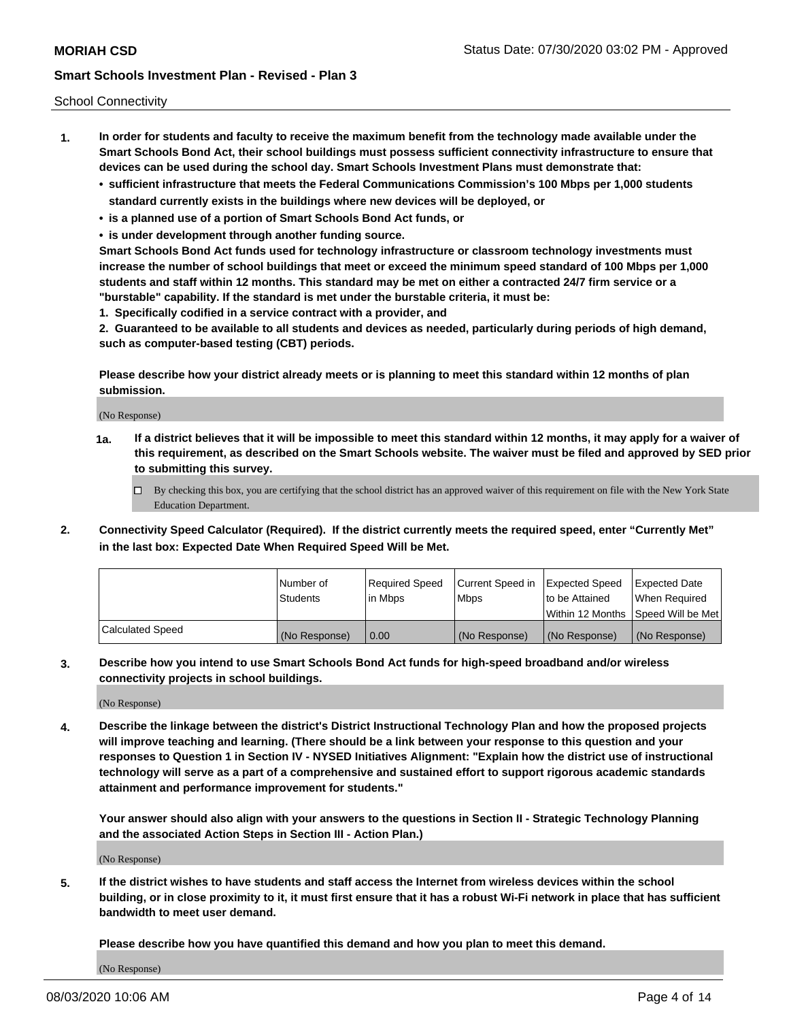School Connectivity

- **1. In order for students and faculty to receive the maximum benefit from the technology made available under the Smart Schools Bond Act, their school buildings must possess sufficient connectivity infrastructure to ensure that devices can be used during the school day. Smart Schools Investment Plans must demonstrate that:**
	- **• sufficient infrastructure that meets the Federal Communications Commission's 100 Mbps per 1,000 students standard currently exists in the buildings where new devices will be deployed, or**
	- **• is a planned use of a portion of Smart Schools Bond Act funds, or**
	- **• is under development through another funding source.**

**Smart Schools Bond Act funds used for technology infrastructure or classroom technology investments must increase the number of school buildings that meet or exceed the minimum speed standard of 100 Mbps per 1,000 students and staff within 12 months. This standard may be met on either a contracted 24/7 firm service or a "burstable" capability. If the standard is met under the burstable criteria, it must be:**

**1. Specifically codified in a service contract with a provider, and**

**2. Guaranteed to be available to all students and devices as needed, particularly during periods of high demand, such as computer-based testing (CBT) periods.**

**Please describe how your district already meets or is planning to meet this standard within 12 months of plan submission.**

(No Response)

**1a. If a district believes that it will be impossible to meet this standard within 12 months, it may apply for a waiver of this requirement, as described on the Smart Schools website. The waiver must be filed and approved by SED prior to submitting this survey.**

 $\Box$  By checking this box, you are certifying that the school district has an approved waiver of this requirement on file with the New York State Education Department.

**2. Connectivity Speed Calculator (Required). If the district currently meets the required speed, enter "Currently Met" in the last box: Expected Date When Required Speed Will be Met.**

|                  | l Number of     | Required Speed | Current Speed in | Expected Speed  | Expected Date                           |
|------------------|-----------------|----------------|------------------|-----------------|-----------------------------------------|
|                  | <b>Students</b> | In Mbps        | l Mbps           | to be Attained  | When Required                           |
|                  |                 |                |                  |                 | l Within 12 Months ISpeed Will be Met l |
| Calculated Speed | (No Response)   | 0.00           | (No Response)    | l (No Response) | l (No Response)                         |

**3. Describe how you intend to use Smart Schools Bond Act funds for high-speed broadband and/or wireless connectivity projects in school buildings.**

(No Response)

**4. Describe the linkage between the district's District Instructional Technology Plan and how the proposed projects will improve teaching and learning. (There should be a link between your response to this question and your responses to Question 1 in Section IV - NYSED Initiatives Alignment: "Explain how the district use of instructional technology will serve as a part of a comprehensive and sustained effort to support rigorous academic standards attainment and performance improvement for students."** 

**Your answer should also align with your answers to the questions in Section II - Strategic Technology Planning and the associated Action Steps in Section III - Action Plan.)**

(No Response)

**5. If the district wishes to have students and staff access the Internet from wireless devices within the school building, or in close proximity to it, it must first ensure that it has a robust Wi-Fi network in place that has sufficient bandwidth to meet user demand.**

**Please describe how you have quantified this demand and how you plan to meet this demand.**

(No Response)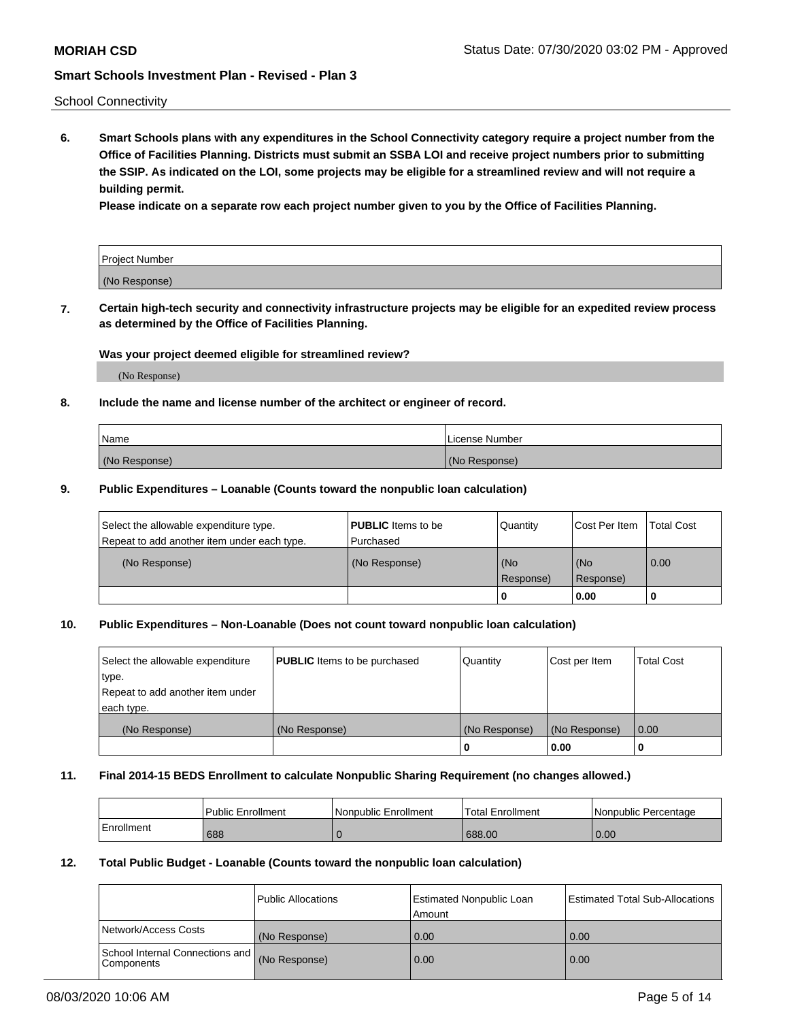School Connectivity

**6. Smart Schools plans with any expenditures in the School Connectivity category require a project number from the Office of Facilities Planning. Districts must submit an SSBA LOI and receive project numbers prior to submitting the SSIP. As indicated on the LOI, some projects may be eligible for a streamlined review and will not require a building permit.**

**Please indicate on a separate row each project number given to you by the Office of Facilities Planning.**

| Project Number |  |
|----------------|--|
| (No Response)  |  |

**7. Certain high-tech security and connectivity infrastructure projects may be eligible for an expedited review process as determined by the Office of Facilities Planning.**

## **Was your project deemed eligible for streamlined review?**

(No Response)

## **8. Include the name and license number of the architect or engineer of record.**

| Name          | License Number |
|---------------|----------------|
| (No Response) | (No Response)  |

### **9. Public Expenditures – Loanable (Counts toward the nonpublic loan calculation)**

| Select the allowable expenditure type.<br>Repeat to add another item under each type. | <b>PUBLIC</b> Items to be<br>l Purchased | Quantity           | Cost Per Item    | <b>Total Cost</b> |
|---------------------------------------------------------------------------------------|------------------------------------------|--------------------|------------------|-------------------|
| (No Response)                                                                         | (No Response)                            | l (No<br>Response) | (No<br>Response) | $\overline{0.00}$ |
|                                                                                       |                                          | O                  | 0.00             |                   |

## **10. Public Expenditures – Non-Loanable (Does not count toward nonpublic loan calculation)**

| Select the allowable expenditure<br>type.      | <b>PUBLIC</b> Items to be purchased | Quantity      | Cost per Item | <b>Total Cost</b> |
|------------------------------------------------|-------------------------------------|---------------|---------------|-------------------|
| Repeat to add another item under<br>each type. |                                     |               |               |                   |
| (No Response)                                  | (No Response)                       | (No Response) | (No Response) | 0.00              |
|                                                |                                     |               | 0.00          |                   |

#### **11. Final 2014-15 BEDS Enrollment to calculate Nonpublic Sharing Requirement (no changes allowed.)**

|            | Public Enrollment | l Nonpublic Enrollment | <b>Total Enrollment</b> | Nonpublic Percentage |
|------------|-------------------|------------------------|-------------------------|----------------------|
| Enrollment | 688               |                        | 688.00                  | 0.00                 |

### **12. Total Public Budget - Loanable (Counts toward the nonpublic loan calculation)**

|                                                      | Public Allocations | <b>Estimated Nonpublic Loan</b><br>Amount | Estimated Total Sub-Allocations |
|------------------------------------------------------|--------------------|-------------------------------------------|---------------------------------|
| Network/Access Costs                                 | (No Response)      | 0.00                                      | 0.00                            |
| School Internal Connections and<br><b>Components</b> | (No Response)      | 0.00                                      | 0.00                            |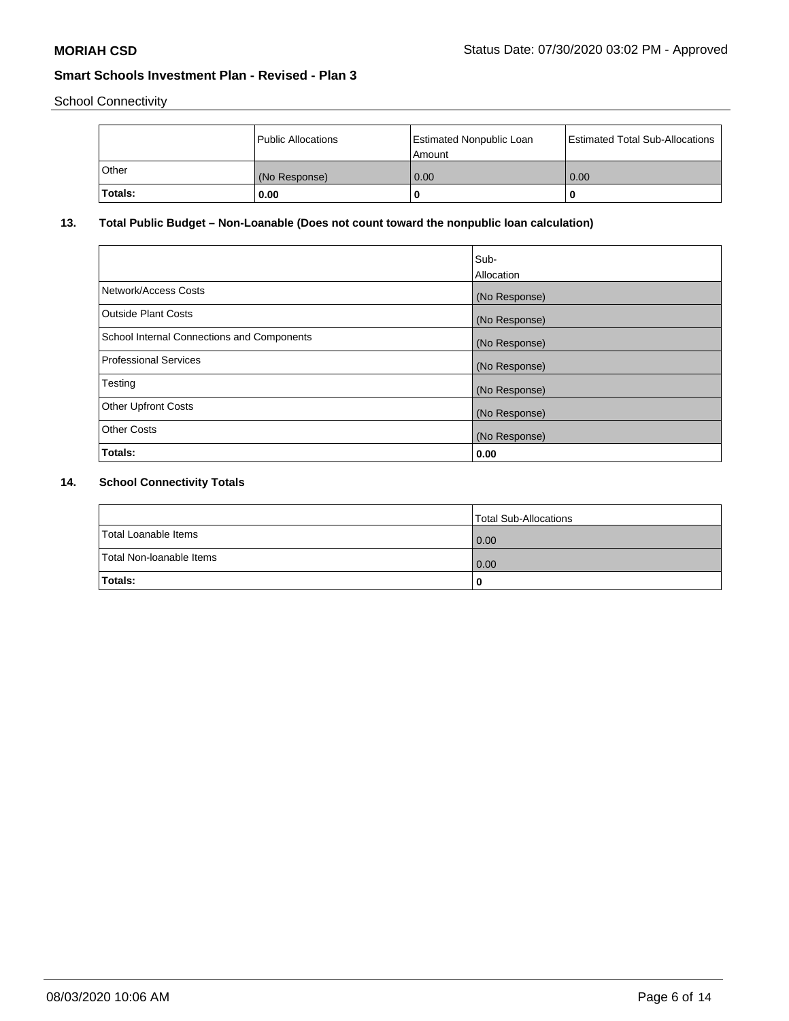School Connectivity

|         | Public Allocations | Estimated Nonpublic Loan<br>l Amount | <b>Estimated Total Sub-Allocations</b> |
|---------|--------------------|--------------------------------------|----------------------------------------|
| l Other | (No Response)      | 0.00                                 | 0.00                                   |
| Totals: | 0.00               | 0                                    |                                        |

# **13. Total Public Budget – Non-Loanable (Does not count toward the nonpublic loan calculation)**

|                                                   | Sub-<br>Allocation |
|---------------------------------------------------|--------------------|
| Network/Access Costs                              | (No Response)      |
| Outside Plant Costs                               | (No Response)      |
| <b>School Internal Connections and Components</b> | (No Response)      |
| Professional Services                             | (No Response)      |
| Testing                                           | (No Response)      |
| <b>Other Upfront Costs</b>                        | (No Response)      |
| <b>Other Costs</b>                                | (No Response)      |
| Totals:                                           | 0.00               |

# **14. School Connectivity Totals**

|                          | Total Sub-Allocations |
|--------------------------|-----------------------|
| Total Loanable Items     | 0.00                  |
| Total Non-Ioanable Items | 0.00                  |
| Totals:                  | 0                     |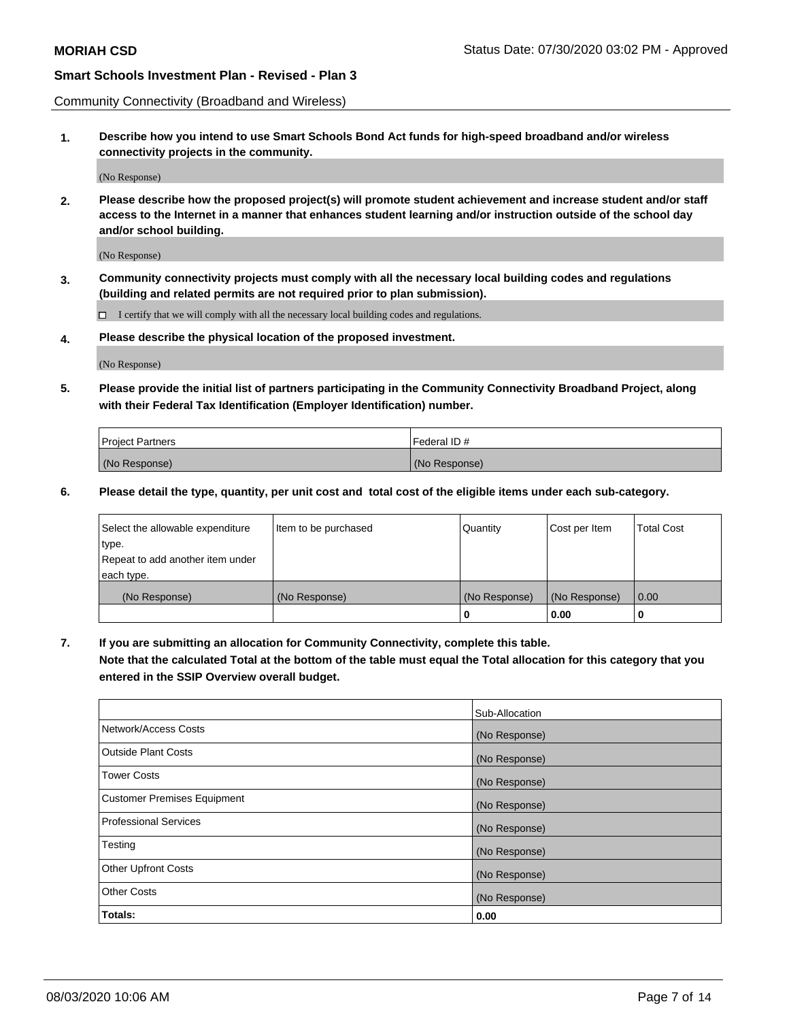Community Connectivity (Broadband and Wireless)

**1. Describe how you intend to use Smart Schools Bond Act funds for high-speed broadband and/or wireless connectivity projects in the community.**

(No Response)

**2. Please describe how the proposed project(s) will promote student achievement and increase student and/or staff access to the Internet in a manner that enhances student learning and/or instruction outside of the school day and/or school building.**

(No Response)

**3. Community connectivity projects must comply with all the necessary local building codes and regulations (building and related permits are not required prior to plan submission).**

 $\Box$  I certify that we will comply with all the necessary local building codes and regulations.

**4. Please describe the physical location of the proposed investment.**

(No Response)

**5. Please provide the initial list of partners participating in the Community Connectivity Broadband Project, along with their Federal Tax Identification (Employer Identification) number.**

| <b>Project Partners</b> | l Federal ID # |
|-------------------------|----------------|
| (No Response)           | (No Response)  |

**6. Please detail the type, quantity, per unit cost and total cost of the eligible items under each sub-category.**

| Select the allowable expenditure | Item to be purchased | Quantity      | Cost per Item | <b>Total Cost</b> |
|----------------------------------|----------------------|---------------|---------------|-------------------|
| type.                            |                      |               |               |                   |
| Repeat to add another item under |                      |               |               |                   |
| each type.                       |                      |               |               |                   |
| (No Response)                    | (No Response)        | (No Response) | (No Response) | 0.00              |
|                                  |                      | o             | 0.00          |                   |

**7. If you are submitting an allocation for Community Connectivity, complete this table.**

**Note that the calculated Total at the bottom of the table must equal the Total allocation for this category that you entered in the SSIP Overview overall budget.**

|                                    | Sub-Allocation |
|------------------------------------|----------------|
| Network/Access Costs               | (No Response)  |
| Outside Plant Costs                | (No Response)  |
| <b>Tower Costs</b>                 | (No Response)  |
| <b>Customer Premises Equipment</b> | (No Response)  |
| <b>Professional Services</b>       | (No Response)  |
| Testing                            | (No Response)  |
| <b>Other Upfront Costs</b>         | (No Response)  |
| <b>Other Costs</b>                 | (No Response)  |
| Totals:                            | 0.00           |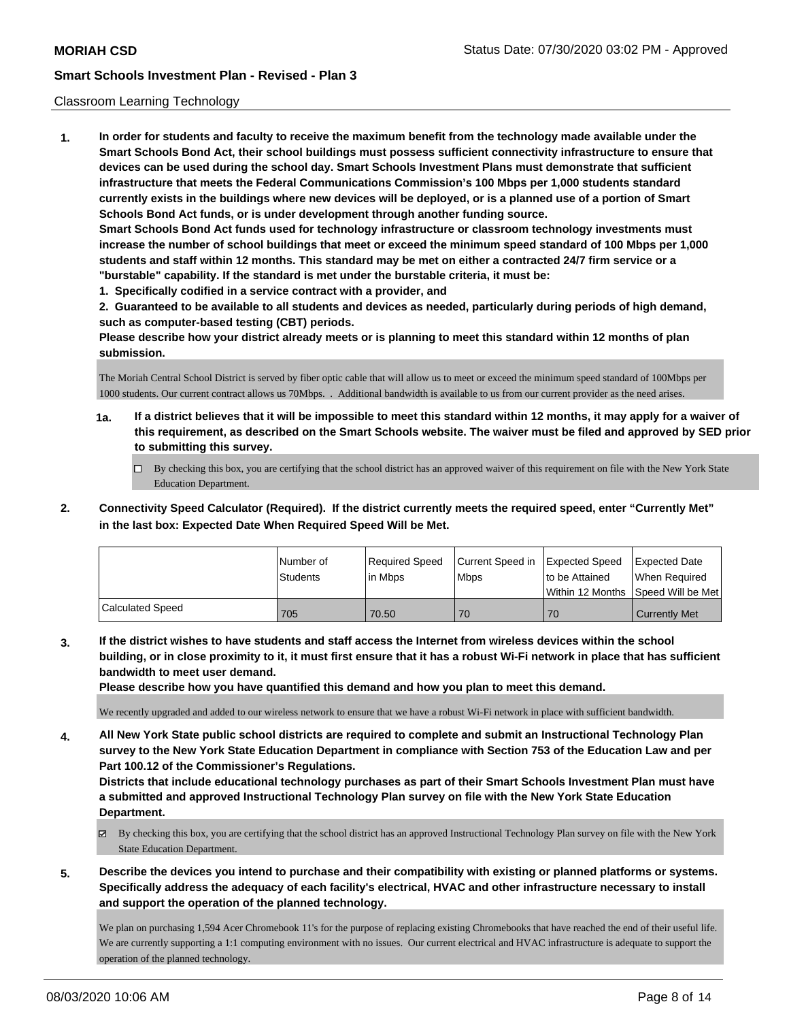## Classroom Learning Technology

**1. In order for students and faculty to receive the maximum benefit from the technology made available under the Smart Schools Bond Act, their school buildings must possess sufficient connectivity infrastructure to ensure that devices can be used during the school day. Smart Schools Investment Plans must demonstrate that sufficient infrastructure that meets the Federal Communications Commission's 100 Mbps per 1,000 students standard currently exists in the buildings where new devices will be deployed, or is a planned use of a portion of Smart Schools Bond Act funds, or is under development through another funding source. Smart Schools Bond Act funds used for technology infrastructure or classroom technology investments must increase the number of school buildings that meet or exceed the minimum speed standard of 100 Mbps per 1,000 students and staff within 12 months. This standard may be met on either a contracted 24/7 firm service or a "burstable" capability. If the standard is met under the burstable criteria, it must be:**

**1. Specifically codified in a service contract with a provider, and**

**2. Guaranteed to be available to all students and devices as needed, particularly during periods of high demand, such as computer-based testing (CBT) periods.**

**Please describe how your district already meets or is planning to meet this standard within 12 months of plan submission.**

The Moriah Central School District is served by fiber optic cable that will allow us to meet or exceed the minimum speed standard of 100Mbps per 1000 students. Our current contract allows us 70Mbps. . Additional bandwidth is available to us from our current provider as the need arises.

- **1a. If a district believes that it will be impossible to meet this standard within 12 months, it may apply for a waiver of this requirement, as described on the Smart Schools website. The waiver must be filed and approved by SED prior to submitting this survey.**
	- By checking this box, you are certifying that the school district has an approved waiver of this requirement on file with the New York State Education Department.
- **2. Connectivity Speed Calculator (Required). If the district currently meets the required speed, enter "Currently Met" in the last box: Expected Date When Required Speed Will be Met.**

|                  | INumber of<br><b>Students</b> | Required Speed<br>l in Mbps | Current Speed in Expected Speed<br>l Mbps | Ito be Attained | Expected Date<br>When Required<br>Within 12 Months Speed Will be Met |
|------------------|-------------------------------|-----------------------------|-------------------------------------------|-----------------|----------------------------------------------------------------------|
| Calculated Speed | 705                           | 70.50                       | 70                                        | 70              | <b>Currently Met</b>                                                 |

**3. If the district wishes to have students and staff access the Internet from wireless devices within the school building, or in close proximity to it, it must first ensure that it has a robust Wi-Fi network in place that has sufficient bandwidth to meet user demand.**

**Please describe how you have quantified this demand and how you plan to meet this demand.**

We recently upgraded and added to our wireless network to ensure that we have a robust Wi-Fi network in place with sufficient bandwidth.

**4. All New York State public school districts are required to complete and submit an Instructional Technology Plan survey to the New York State Education Department in compliance with Section 753 of the Education Law and per Part 100.12 of the Commissioner's Regulations.**

**Districts that include educational technology purchases as part of their Smart Schools Investment Plan must have a submitted and approved Instructional Technology Plan survey on file with the New York State Education Department.**

- $\boxtimes$  By checking this box, you are certifying that the school district has an approved Instructional Technology Plan survey on file with the New York State Education Department.
- **5. Describe the devices you intend to purchase and their compatibility with existing or planned platforms or systems. Specifically address the adequacy of each facility's electrical, HVAC and other infrastructure necessary to install and support the operation of the planned technology.**

We plan on purchasing 1,594 Acer Chromebook 11's for the purpose of replacing existing Chromebooks that have reached the end of their useful life. We are currently supporting a 1:1 computing environment with no issues. Our current electrical and HVAC infrastructure is adequate to support the operation of the planned technology.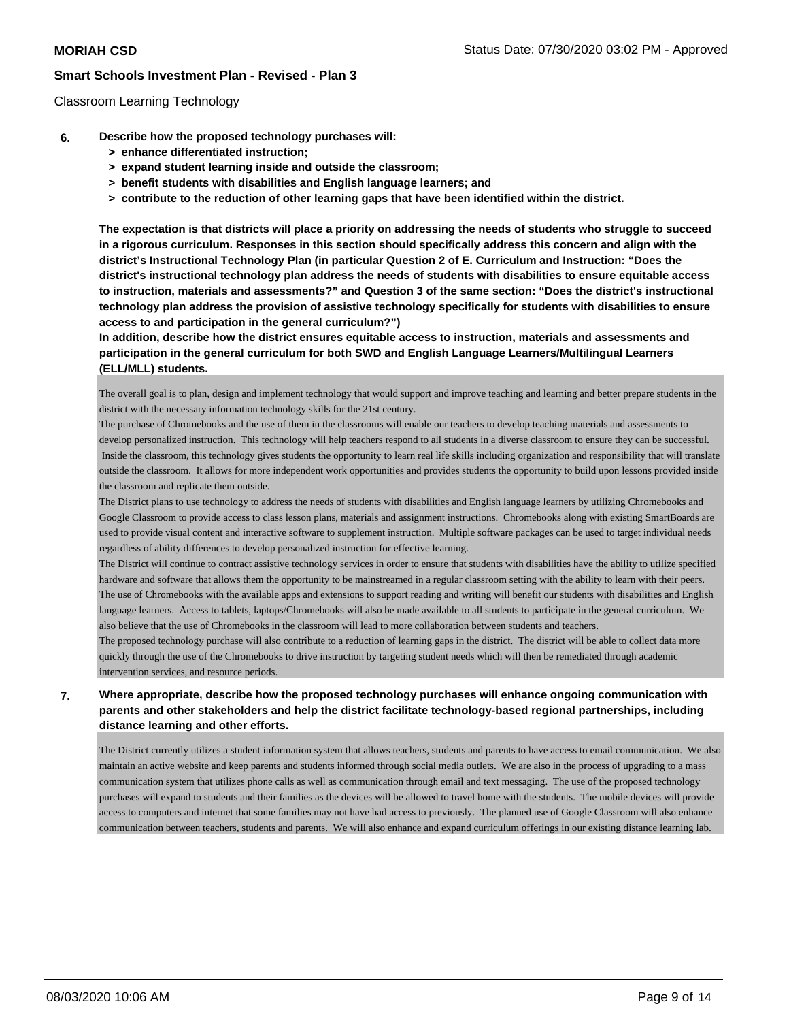### Classroom Learning Technology

- **6. Describe how the proposed technology purchases will:**
	- **> enhance differentiated instruction;**
	- **> expand student learning inside and outside the classroom;**
	- **> benefit students with disabilities and English language learners; and**
	- **> contribute to the reduction of other learning gaps that have been identified within the district.**

**The expectation is that districts will place a priority on addressing the needs of students who struggle to succeed in a rigorous curriculum. Responses in this section should specifically address this concern and align with the district's Instructional Technology Plan (in particular Question 2 of E. Curriculum and Instruction: "Does the district's instructional technology plan address the needs of students with disabilities to ensure equitable access to instruction, materials and assessments?" and Question 3 of the same section: "Does the district's instructional technology plan address the provision of assistive technology specifically for students with disabilities to ensure access to and participation in the general curriculum?")**

**In addition, describe how the district ensures equitable access to instruction, materials and assessments and participation in the general curriculum for both SWD and English Language Learners/Multilingual Learners (ELL/MLL) students.**

The overall goal is to plan, design and implement technology that would support and improve teaching and learning and better prepare students in the district with the necessary information technology skills for the 21st century.

The purchase of Chromebooks and the use of them in the classrooms will enable our teachers to develop teaching materials and assessments to develop personalized instruction. This technology will help teachers respond to all students in a diverse classroom to ensure they can be successful. Inside the classroom, this technology gives students the opportunity to learn real life skills including organization and responsibility that will translate outside the classroom. It allows for more independent work opportunities and provides students the opportunity to build upon lessons provided inside the classroom and replicate them outside.

The District plans to use technology to address the needs of students with disabilities and English language learners by utilizing Chromebooks and Google Classroom to provide access to class lesson plans, materials and assignment instructions. Chromebooks along with existing SmartBoards are used to provide visual content and interactive software to supplement instruction. Multiple software packages can be used to target individual needs regardless of ability differences to develop personalized instruction for effective learning.

The District will continue to contract assistive technology services in order to ensure that students with disabilities have the ability to utilize specified hardware and software that allows them the opportunity to be mainstreamed in a regular classroom setting with the ability to learn with their peers. The use of Chromebooks with the available apps and extensions to support reading and writing will benefit our students with disabilities and English language learners. Access to tablets, laptops/Chromebooks will also be made available to all students to participate in the general curriculum. We also believe that the use of Chromebooks in the classroom will lead to more collaboration between students and teachers.

The proposed technology purchase will also contribute to a reduction of learning gaps in the district. The district will be able to collect data more quickly through the use of the Chromebooks to drive instruction by targeting student needs which will then be remediated through academic intervention services, and resource periods.

# **7. Where appropriate, describe how the proposed technology purchases will enhance ongoing communication with parents and other stakeholders and help the district facilitate technology-based regional partnerships, including distance learning and other efforts.**

The District currently utilizes a student information system that allows teachers, students and parents to have access to email communication. We also maintain an active website and keep parents and students informed through social media outlets. We are also in the process of upgrading to a mass communication system that utilizes phone calls as well as communication through email and text messaging. The use of the proposed technology purchases will expand to students and their families as the devices will be allowed to travel home with the students. The mobile devices will provide access to computers and internet that some families may not have had access to previously. The planned use of Google Classroom will also enhance communication between teachers, students and parents. We will also enhance and expand curriculum offerings in our existing distance learning lab.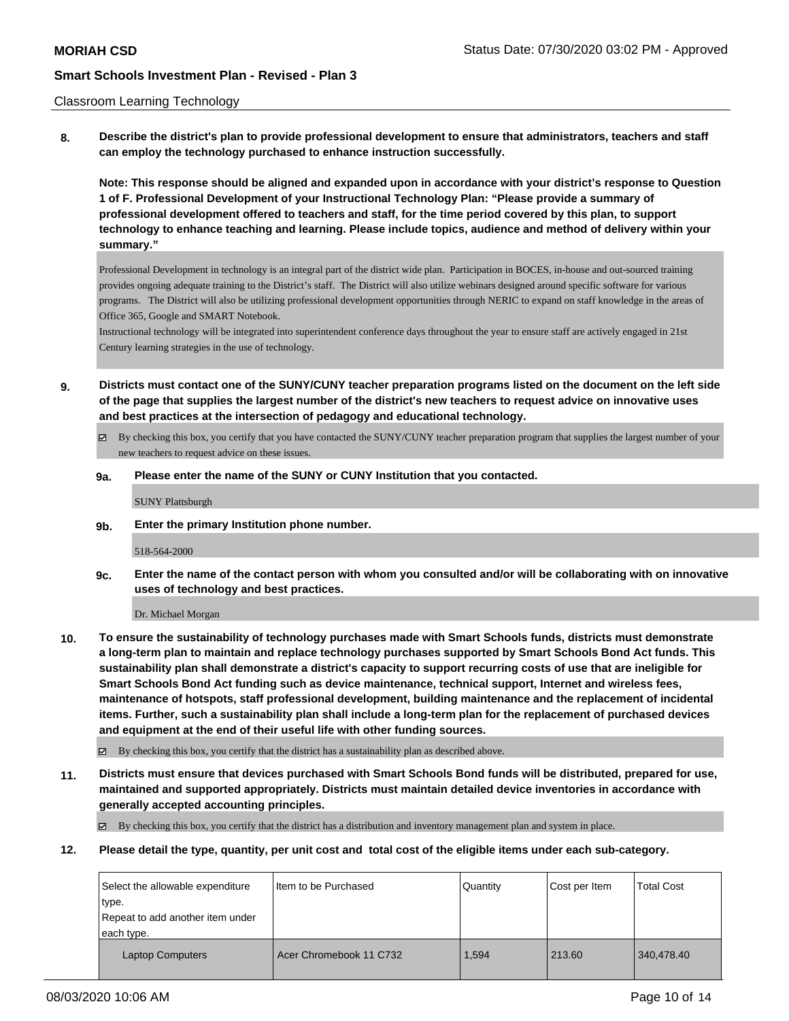### Classroom Learning Technology

**8. Describe the district's plan to provide professional development to ensure that administrators, teachers and staff can employ the technology purchased to enhance instruction successfully.**

**Note: This response should be aligned and expanded upon in accordance with your district's response to Question 1 of F. Professional Development of your Instructional Technology Plan: "Please provide a summary of professional development offered to teachers and staff, for the time period covered by this plan, to support technology to enhance teaching and learning. Please include topics, audience and method of delivery within your summary."**

Professional Development in technology is an integral part of the district wide plan. Participation in BOCES, in-house and out-sourced training provides ongoing adequate training to the District's staff. The District will also utilize webinars designed around specific software for various programs. The District will also be utilizing professional development opportunities through NERIC to expand on staff knowledge in the areas of Office 365, Google and SMART Notebook.

Instructional technology will be integrated into superintendent conference days throughout the year to ensure staff are actively engaged in 21st Century learning strategies in the use of technology.

- **9. Districts must contact one of the SUNY/CUNY teacher preparation programs listed on the document on the left side of the page that supplies the largest number of the district's new teachers to request advice on innovative uses and best practices at the intersection of pedagogy and educational technology.**
	- By checking this box, you certify that you have contacted the SUNY/CUNY teacher preparation program that supplies the largest number of your new teachers to request advice on these issues.

### **9a. Please enter the name of the SUNY or CUNY Institution that you contacted.**

SUNY Plattsburgh

**9b. Enter the primary Institution phone number.**

518-564-2000

**9c. Enter the name of the contact person with whom you consulted and/or will be collaborating with on innovative uses of technology and best practices.**

Dr. Michael Morgan

**10. To ensure the sustainability of technology purchases made with Smart Schools funds, districts must demonstrate a long-term plan to maintain and replace technology purchases supported by Smart Schools Bond Act funds. This sustainability plan shall demonstrate a district's capacity to support recurring costs of use that are ineligible for Smart Schools Bond Act funding such as device maintenance, technical support, Internet and wireless fees, maintenance of hotspots, staff professional development, building maintenance and the replacement of incidental items. Further, such a sustainability plan shall include a long-term plan for the replacement of purchased devices and equipment at the end of their useful life with other funding sources.**

By checking this box, you certify that the district has a sustainability plan as described above.

**11. Districts must ensure that devices purchased with Smart Schools Bond funds will be distributed, prepared for use, maintained and supported appropriately. Districts must maintain detailed device inventories in accordance with generally accepted accounting principles.**

By checking this box, you certify that the district has a distribution and inventory management plan and system in place.

**12. Please detail the type, quantity, per unit cost and total cost of the eligible items under each sub-category.**

| Select the allowable expenditure<br>type.      | I Item to be Purchased  | Quantity | Cost per Item | <b>Total Cost</b> |
|------------------------------------------------|-------------------------|----------|---------------|-------------------|
| Repeat to add another item under<br>each type. |                         |          |               |                   |
| <b>Laptop Computers</b>                        | Acer Chromebook 11 C732 | 1.594    | 213.60        | 340.478.40        |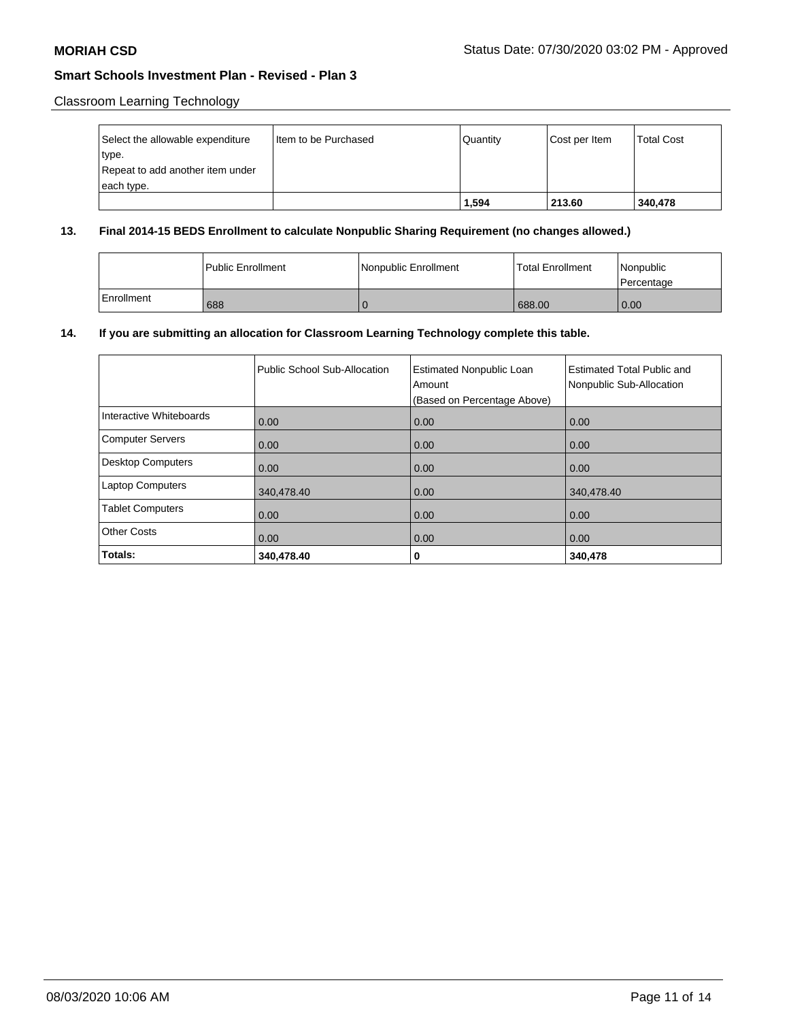Classroom Learning Technology

| Select the allowable expenditure | I Item to be Purchased | l Quantitv | Cost per Item | <b>Total Cost</b> |
|----------------------------------|------------------------|------------|---------------|-------------------|
| type.                            |                        |            |               |                   |
| Repeat to add another item under |                        |            |               |                   |
| each type.                       |                        |            |               |                   |
|                                  |                        | 1,594      | 213.60        | 340,478           |

## **13. Final 2014-15 BEDS Enrollment to calculate Nonpublic Sharing Requirement (no changes allowed.)**

|            | l Public Enrollment | Nonpublic Enrollment | <b>Total Enrollment</b> | Nonpublic<br>l Percentage |
|------------|---------------------|----------------------|-------------------------|---------------------------|
| Enrollment | 688                 |                      | 688.00                  | 0.00                      |

# **14. If you are submitting an allocation for Classroom Learning Technology complete this table.**

|                          | Public School Sub-Allocation | <b>Estimated Nonpublic Loan</b><br>Amount<br>(Based on Percentage Above) | Estimated Total Public and<br>Nonpublic Sub-Allocation |
|--------------------------|------------------------------|--------------------------------------------------------------------------|--------------------------------------------------------|
| Interactive Whiteboards  | 0.00                         | 0.00                                                                     | 0.00                                                   |
| <b>Computer Servers</b>  | 0.00                         | 0.00                                                                     | 0.00                                                   |
| <b>Desktop Computers</b> | 0.00                         | 0.00                                                                     | 0.00                                                   |
| <b>Laptop Computers</b>  | 340,478.40                   | 0.00                                                                     | 340,478.40                                             |
| <b>Tablet Computers</b>  | 0.00                         | 0.00                                                                     | 0.00                                                   |
| <b>Other Costs</b>       | 0.00                         | 0.00                                                                     | 0.00                                                   |
| Totals:                  | 340,478.40                   | 0                                                                        | 340,478                                                |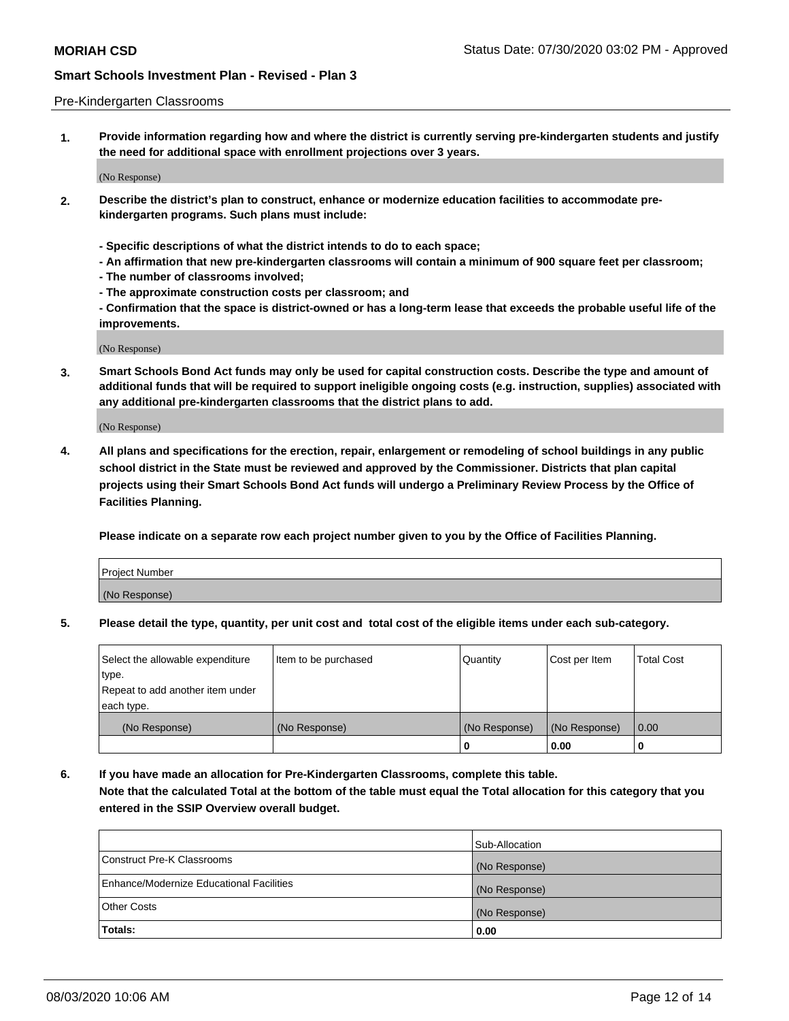### Pre-Kindergarten Classrooms

**1. Provide information regarding how and where the district is currently serving pre-kindergarten students and justify the need for additional space with enrollment projections over 3 years.**

(No Response)

- **2. Describe the district's plan to construct, enhance or modernize education facilities to accommodate prekindergarten programs. Such plans must include:**
	- **Specific descriptions of what the district intends to do to each space;**
	- **An affirmation that new pre-kindergarten classrooms will contain a minimum of 900 square feet per classroom;**
	- **The number of classrooms involved;**
	- **The approximate construction costs per classroom; and**
	- **Confirmation that the space is district-owned or has a long-term lease that exceeds the probable useful life of the improvements.**

(No Response)

**3. Smart Schools Bond Act funds may only be used for capital construction costs. Describe the type and amount of additional funds that will be required to support ineligible ongoing costs (e.g. instruction, supplies) associated with any additional pre-kindergarten classrooms that the district plans to add.**

(No Response)

**4. All plans and specifications for the erection, repair, enlargement or remodeling of school buildings in any public school district in the State must be reviewed and approved by the Commissioner. Districts that plan capital projects using their Smart Schools Bond Act funds will undergo a Preliminary Review Process by the Office of Facilities Planning.**

**Please indicate on a separate row each project number given to you by the Office of Facilities Planning.**

| Project Number |  |
|----------------|--|
| (No Response)  |  |
|                |  |

**5. Please detail the type, quantity, per unit cost and total cost of the eligible items under each sub-category.**

| Select the allowable expenditure | Item to be purchased | Quantity      | Cost per Item | <b>Total Cost</b> |
|----------------------------------|----------------------|---------------|---------------|-------------------|
| type.                            |                      |               |               |                   |
| Repeat to add another item under |                      |               |               |                   |
| each type.                       |                      |               |               |                   |
| (No Response)                    | (No Response)        | (No Response) | (No Response) | 0.00              |
|                                  |                      | U             | 0.00          |                   |

**6. If you have made an allocation for Pre-Kindergarten Classrooms, complete this table. Note that the calculated Total at the bottom of the table must equal the Total allocation for this category that you entered in the SSIP Overview overall budget.**

|                                          | Sub-Allocation |
|------------------------------------------|----------------|
| Construct Pre-K Classrooms               | (No Response)  |
| Enhance/Modernize Educational Facilities | (No Response)  |
| <b>Other Costs</b>                       | (No Response)  |
| Totals:                                  | 0.00           |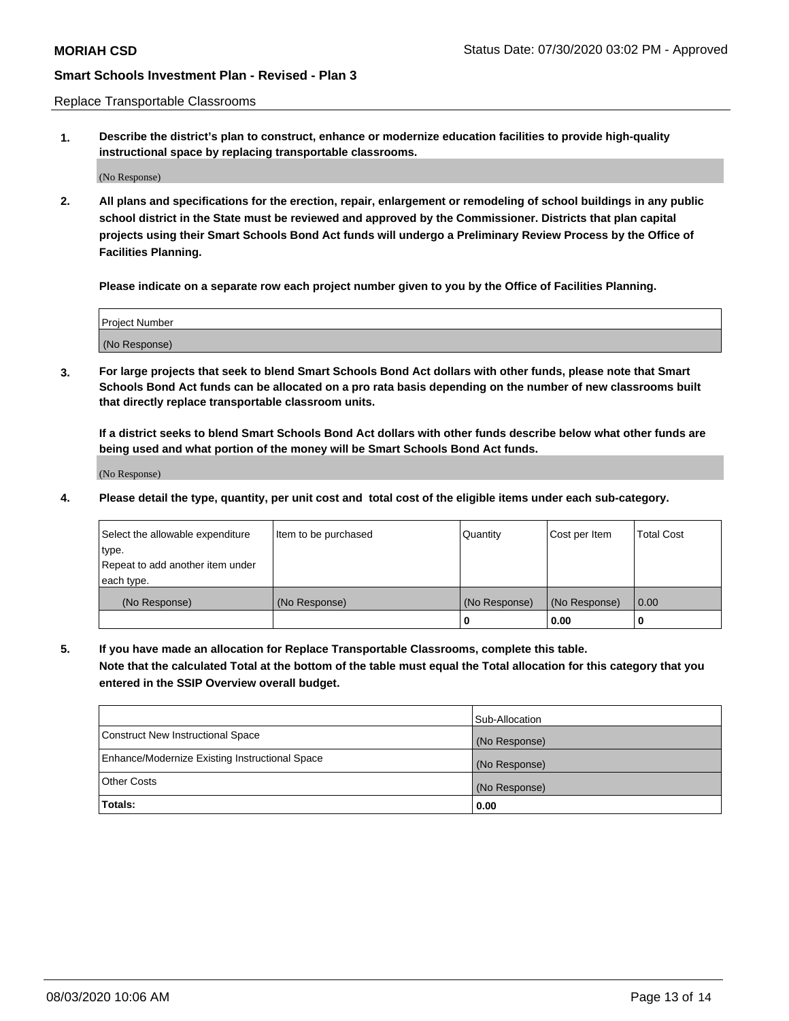Replace Transportable Classrooms

**1. Describe the district's plan to construct, enhance or modernize education facilities to provide high-quality instructional space by replacing transportable classrooms.**

(No Response)

**2. All plans and specifications for the erection, repair, enlargement or remodeling of school buildings in any public school district in the State must be reviewed and approved by the Commissioner. Districts that plan capital projects using their Smart Schools Bond Act funds will undergo a Preliminary Review Process by the Office of Facilities Planning.**

**Please indicate on a separate row each project number given to you by the Office of Facilities Planning.**

| Project Number |  |
|----------------|--|
|                |  |
|                |  |
|                |  |
|                |  |
| (No Response)  |  |
|                |  |
|                |  |
|                |  |

**3. For large projects that seek to blend Smart Schools Bond Act dollars with other funds, please note that Smart Schools Bond Act funds can be allocated on a pro rata basis depending on the number of new classrooms built that directly replace transportable classroom units.**

**If a district seeks to blend Smart Schools Bond Act dollars with other funds describe below what other funds are being used and what portion of the money will be Smart Schools Bond Act funds.**

(No Response)

**4. Please detail the type, quantity, per unit cost and total cost of the eligible items under each sub-category.**

| Select the allowable expenditure | Item to be purchased | Quantity      | Cost per Item | Total Cost |
|----------------------------------|----------------------|---------------|---------------|------------|
| ∣type.                           |                      |               |               |            |
| Repeat to add another item under |                      |               |               |            |
| each type.                       |                      |               |               |            |
| (No Response)                    | (No Response)        | (No Response) | (No Response) | 0.00       |
|                                  |                      | u             | 0.00          |            |

**5. If you have made an allocation for Replace Transportable Classrooms, complete this table. Note that the calculated Total at the bottom of the table must equal the Total allocation for this category that you entered in the SSIP Overview overall budget.**

|                                                | Sub-Allocation |
|------------------------------------------------|----------------|
| Construct New Instructional Space              | (No Response)  |
| Enhance/Modernize Existing Instructional Space | (No Response)  |
| <b>Other Costs</b>                             | (No Response)  |
| Totals:                                        | 0.00           |